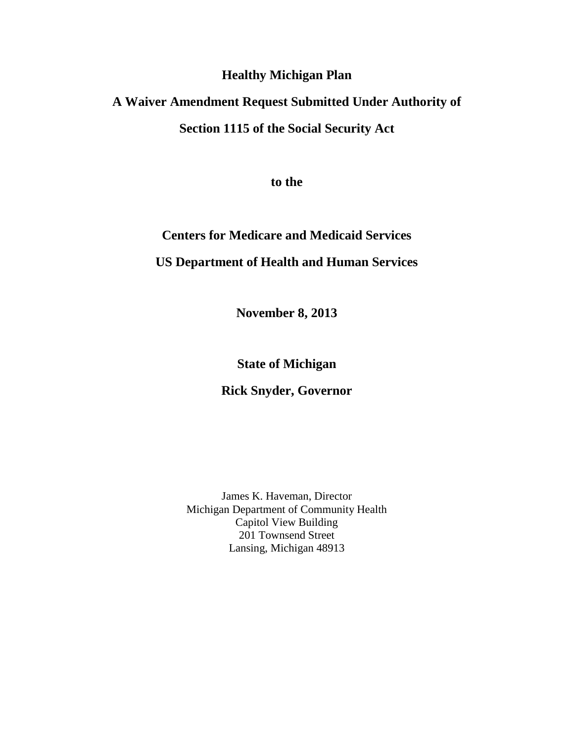## **Healthy Michigan Plan**

## **A Waiver Amendment Request Submitted Under Authority of Section 1115 of the Social Security Act**

**to the**

## **Centers for Medicare and Medicaid Services US Department of Health and Human Services**

**November 8, 2013**

**State of Michigan**

**Rick Snyder, Governor**

James K. Haveman, Director Michigan Department of Community Health Capitol View Building 201 Townsend Street Lansing, Michigan 48913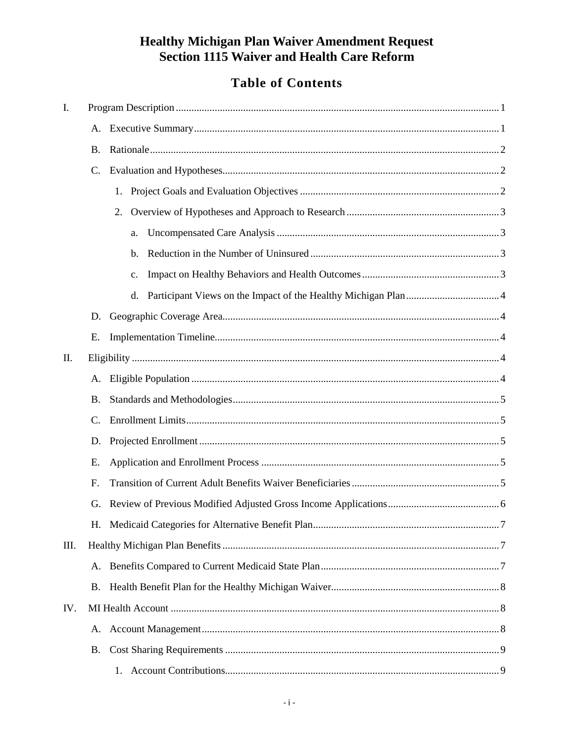## **Table of Contents**

| Ι.   |           |    |  |
|------|-----------|----|--|
|      | А.        |    |  |
|      | Β.        |    |  |
|      | C.        |    |  |
|      |           | 1. |  |
|      |           | 2. |  |
|      |           | a. |  |
|      |           | b. |  |
|      |           | c. |  |
|      |           | d. |  |
|      | D.        |    |  |
|      | Е.        |    |  |
| II.  |           |    |  |
|      | A.        |    |  |
|      | <b>B.</b> |    |  |
|      | C.        |    |  |
|      | D.        |    |  |
|      | Е.        |    |  |
|      | F.        |    |  |
|      | G.        |    |  |
|      |           |    |  |
| III. |           |    |  |
|      | A.        |    |  |
|      | <b>B.</b> |    |  |
| IV.  |           |    |  |
|      | A.        |    |  |
|      | B.        |    |  |
|      |           |    |  |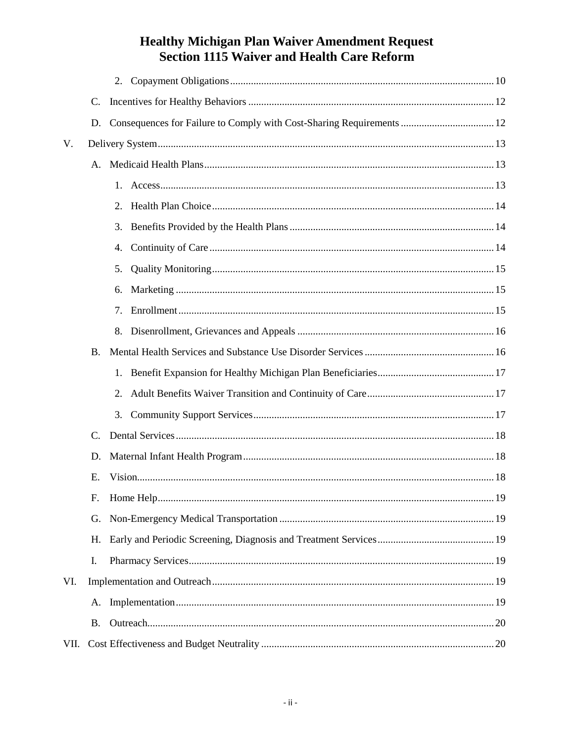|      | C.        |                                                                       |  |
|------|-----------|-----------------------------------------------------------------------|--|
|      | D.        | Consequences for Failure to Comply with Cost-Sharing Requirements  12 |  |
| V.   |           |                                                                       |  |
|      |           |                                                                       |  |
|      |           |                                                                       |  |
|      |           |                                                                       |  |
|      |           | 3.                                                                    |  |
|      |           | 4.                                                                    |  |
|      |           | 5.                                                                    |  |
|      |           | 6.                                                                    |  |
|      |           | 7.                                                                    |  |
|      |           | 8.                                                                    |  |
|      | <b>B.</b> |                                                                       |  |
|      |           |                                                                       |  |
|      |           | 2.                                                                    |  |
|      |           | 3.                                                                    |  |
|      | C.        |                                                                       |  |
|      | D.        |                                                                       |  |
|      | Е.        |                                                                       |  |
|      | F.        |                                                                       |  |
|      | G.        |                                                                       |  |
|      | H.        |                                                                       |  |
|      | I.        |                                                                       |  |
| VI.  |           |                                                                       |  |
|      | А.        |                                                                       |  |
|      | <b>B.</b> |                                                                       |  |
| VII. |           |                                                                       |  |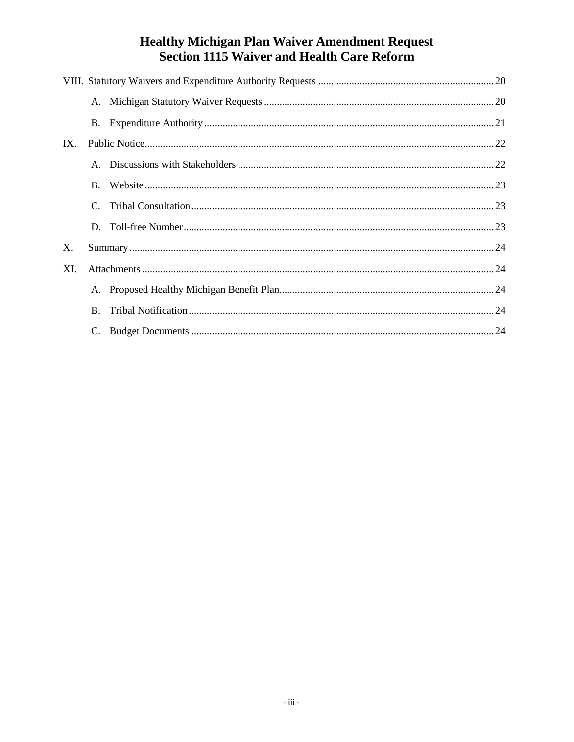| IX. |               |  |  |  |  |
|-----|---------------|--|--|--|--|
|     |               |  |  |  |  |
|     |               |  |  |  |  |
|     | $\mathcal{C}$ |  |  |  |  |
|     |               |  |  |  |  |
| X.  |               |  |  |  |  |
| XI. |               |  |  |  |  |
|     |               |  |  |  |  |
|     | <b>B.</b>     |  |  |  |  |
|     | C.            |  |  |  |  |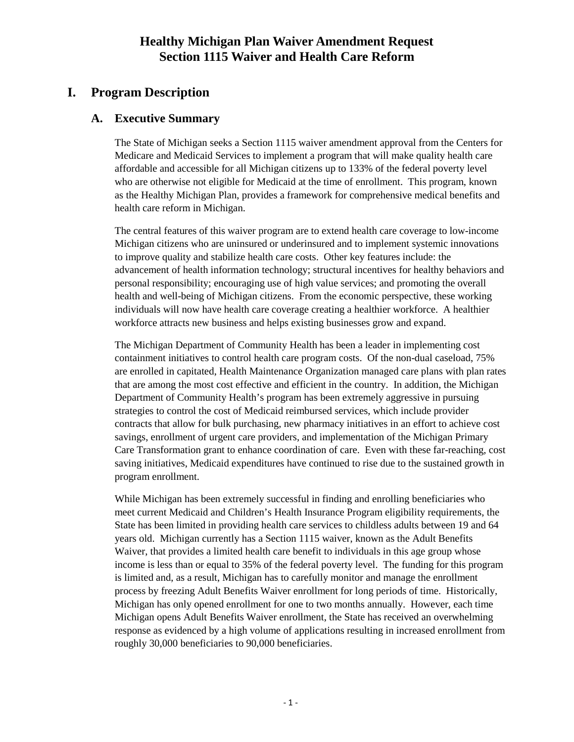## <span id="page-4-0"></span>**I. Program Description**

## <span id="page-4-1"></span>**A. Executive Summary**

The State of Michigan seeks a Section 1115 waiver amendment approval from the Centers for Medicare and Medicaid Services to implement a program that will make quality health care affordable and accessible for all Michigan citizens up to 133% of the federal poverty level who are otherwise not eligible for Medicaid at the time of enrollment. This program, known as the Healthy Michigan Plan, provides a framework for comprehensive medical benefits and health care reform in Michigan.

The central features of this waiver program are to extend health care coverage to low-income Michigan citizens who are uninsured or underinsured and to implement systemic innovations to improve quality and stabilize health care costs. Other key features include: the advancement of health information technology; structural incentives for healthy behaviors and personal responsibility; encouraging use of high value services; and promoting the overall health and well-being of Michigan citizens. From the economic perspective, these working individuals will now have health care coverage creating a healthier workforce. A healthier workforce attracts new business and helps existing businesses grow and expand.

The Michigan Department of Community Health has been a leader in implementing cost containment initiatives to control health care program costs. Of the non-dual caseload, 75% are enrolled in capitated, Health Maintenance Organization managed care plans with plan rates that are among the most cost effective and efficient in the country. In addition, the Michigan Department of Community Health's program has been extremely aggressive in pursuing strategies to control the cost of Medicaid reimbursed services, which include provider contracts that allow for bulk purchasing, new pharmacy initiatives in an effort to achieve cost savings, enrollment of urgent care providers, and implementation of the Michigan Primary Care Transformation grant to enhance coordination of care. Even with these far-reaching, cost saving initiatives, Medicaid expenditures have continued to rise due to the sustained growth in program enrollment.

While Michigan has been extremely successful in finding and enrolling beneficiaries who meet current Medicaid and Children's Health Insurance Program eligibility requirements, the State has been limited in providing health care services to childless adults between 19 and 64 years old. Michigan currently has a Section 1115 waiver, known as the Adult Benefits Waiver, that provides a limited health care benefit to individuals in this age group whose income is less than or equal to 35% of the federal poverty level. The funding for this program is limited and, as a result, Michigan has to carefully monitor and manage the enrollment process by freezing Adult Benefits Waiver enrollment for long periods of time. Historically, Michigan has only opened enrollment for one to two months annually. However, each time Michigan opens Adult Benefits Waiver enrollment, the State has received an overwhelming response as evidenced by a high volume of applications resulting in increased enrollment from roughly 30,000 beneficiaries to 90,000 beneficiaries.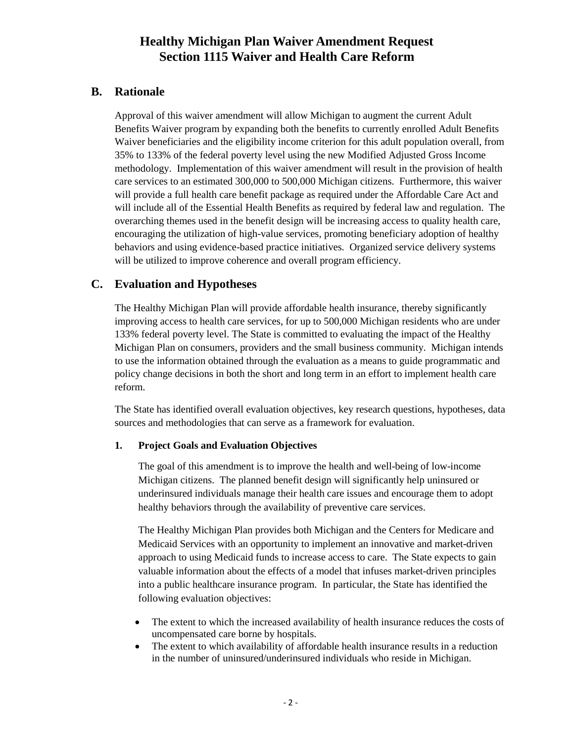## <span id="page-5-0"></span>**B. Rationale**

Approval of this waiver amendment will allow Michigan to augment the current Adult Benefits Waiver program by expanding both the benefits to currently enrolled Adult Benefits Waiver beneficiaries and the eligibility income criterion for this adult population overall, from 35% to 133% of the federal poverty level using the new Modified Adjusted Gross Income methodology. Implementation of this waiver amendment will result in the provision of health care services to an estimated 300,000 to 500,000 Michigan citizens. Furthermore, this waiver will provide a full health care benefit package as required under the Affordable Care Act and will include all of the Essential Health Benefits as required by federal law and regulation. The overarching themes used in the benefit design will be increasing access to quality health care, encouraging the utilization of high-value services, promoting beneficiary adoption of healthy behaviors and using evidence-based practice initiatives. Organized service delivery systems will be utilized to improve coherence and overall program efficiency.

#### <span id="page-5-1"></span>**C. Evaluation and Hypotheses**

The Healthy Michigan Plan will provide affordable health insurance, thereby significantly improving access to health care services, for up to 500,000 Michigan residents who are under 133% federal poverty level. The State is committed to evaluating the impact of the Healthy Michigan Plan on consumers, providers and the small business community. Michigan intends to use the information obtained through the evaluation as a means to guide programmatic and policy change decisions in both the short and long term in an effort to implement health care reform.

The State has identified overall evaluation objectives, key research questions, hypotheses, data sources and methodologies that can serve as a framework for evaluation.

#### <span id="page-5-2"></span>**1. Project Goals and Evaluation Objectives**

The goal of this amendment is to improve the health and well-being of low-income Michigan citizens. The planned benefit design will significantly help uninsured or underinsured individuals manage their health care issues and encourage them to adopt healthy behaviors through the availability of preventive care services.

The Healthy Michigan Plan provides both Michigan and the Centers for Medicare and Medicaid Services with an opportunity to implement an innovative and market-driven approach to using Medicaid funds to increase access to care. The State expects to gain valuable information about the effects of a model that infuses market-driven principles into a public healthcare insurance program. In particular, the State has identified the following evaluation objectives:

- The extent to which the increased availability of health insurance reduces the costs of uncompensated care borne by hospitals.
- The extent to which availability of affordable health insurance results in a reduction in the number of uninsured/underinsured individuals who reside in Michigan.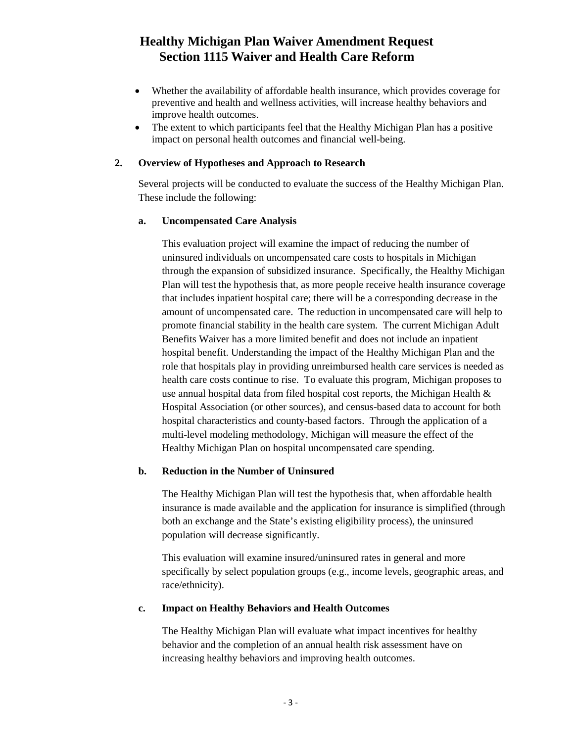- Whether the availability of affordable health insurance, which provides coverage for preventive and health and wellness activities, will increase healthy behaviors and improve health outcomes.
- The extent to which participants feel that the Healthy Michigan Plan has a positive impact on personal health outcomes and financial well-being.

#### <span id="page-6-0"></span>**2. Overview of Hypotheses and Approach to Research**

Several projects will be conducted to evaluate the success of the Healthy Michigan Plan. These include the following:

#### <span id="page-6-1"></span>**a. Uncompensated Care Analysis**

This evaluation project will examine the impact of reducing the number of uninsured individuals on uncompensated care costs to hospitals in Michigan through the expansion of subsidized insurance. Specifically, the Healthy Michigan Plan will test the hypothesis that, as more people receive health insurance coverage that includes inpatient hospital care; there will be a corresponding decrease in the amount of uncompensated care. The reduction in uncompensated care will help to promote financial stability in the health care system. The current Michigan Adult Benefits Waiver has a more limited benefit and does not include an inpatient hospital benefit. Understanding the impact of the Healthy Michigan Plan and the role that hospitals play in providing unreimbursed health care services is needed as health care costs continue to rise. To evaluate this program, Michigan proposes to use annual hospital data from filed hospital cost reports, the Michigan Health & Hospital Association (or other sources), and census-based data to account for both hospital characteristics and county-based factors. Through the application of a multi-level modeling methodology, Michigan will measure the effect of the Healthy Michigan Plan on hospital uncompensated care spending.

#### <span id="page-6-2"></span>**b. Reduction in the Number of Uninsured**

The Healthy Michigan Plan will test the hypothesis that, when affordable health insurance is made available and the application for insurance is simplified (through both an exchange and the State's existing eligibility process), the uninsured population will decrease significantly.

This evaluation will examine insured/uninsured rates in general and more specifically by select population groups (e.g., income levels, geographic areas, and race/ethnicity).

#### <span id="page-6-3"></span>**c. Impact on Healthy Behaviors and Health Outcomes**

The Healthy Michigan Plan will evaluate what impact incentives for healthy behavior and the completion of an annual health risk assessment have on increasing healthy behaviors and improving health outcomes.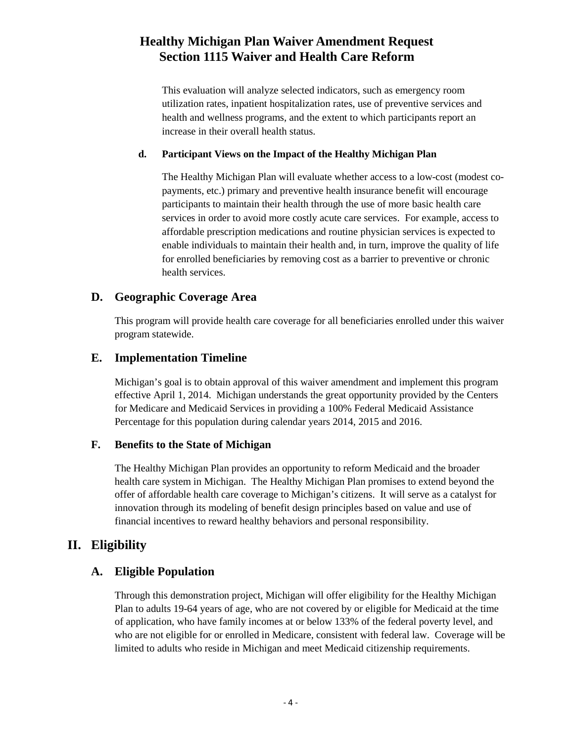This evaluation will analyze selected indicators, such as emergency room utilization rates, inpatient hospitalization rates, use of preventive services and health and wellness programs, and the extent to which participants report an increase in their overall health status.

#### <span id="page-7-0"></span>**d. Participant Views on the Impact of the Healthy Michigan Plan**

The Healthy Michigan Plan will evaluate whether access to a low-cost (modest copayments, etc.) primary and preventive health insurance benefit will encourage participants to maintain their health through the use of more basic health care services in order to avoid more costly acute care services. For example, access to affordable prescription medications and routine physician services is expected to enable individuals to maintain their health and, in turn, improve the quality of life for enrolled beneficiaries by removing cost as a barrier to preventive or chronic health services.

#### <span id="page-7-1"></span>**D. Geographic Coverage Area**

This program will provide health care coverage for all beneficiaries enrolled under this waiver program statewide.

#### <span id="page-7-2"></span>**E. Implementation Timeline**

Michigan's goal is to obtain approval of this waiver amendment and implement this program effective April 1, 2014. Michigan understands the great opportunity provided by the Centers for Medicare and Medicaid Services in providing a 100% Federal Medicaid Assistance Percentage for this population during calendar years 2014, 2015 and 2016.

#### **F. Benefits to the State of Michigan**

The Healthy Michigan Plan provides an opportunity to reform Medicaid and the broader health care system in Michigan. The Healthy Michigan Plan promises to extend beyond the offer of affordable health care coverage to Michigan's citizens. It will serve as a catalyst for innovation through its modeling of benefit design principles based on value and use of financial incentives to reward healthy behaviors and personal responsibility.

## <span id="page-7-3"></span>**II. Eligibility**

#### <span id="page-7-4"></span>**A. Eligible Population**

Through this demonstration project, Michigan will offer eligibility for the Healthy Michigan Plan to adults 19-64 years of age, who are not covered by or eligible for Medicaid at the time of application, who have family incomes at or below 133% of the federal poverty level, and who are not eligible for or enrolled in Medicare, consistent with federal law. Coverage will be limited to adults who reside in Michigan and meet Medicaid citizenship requirements.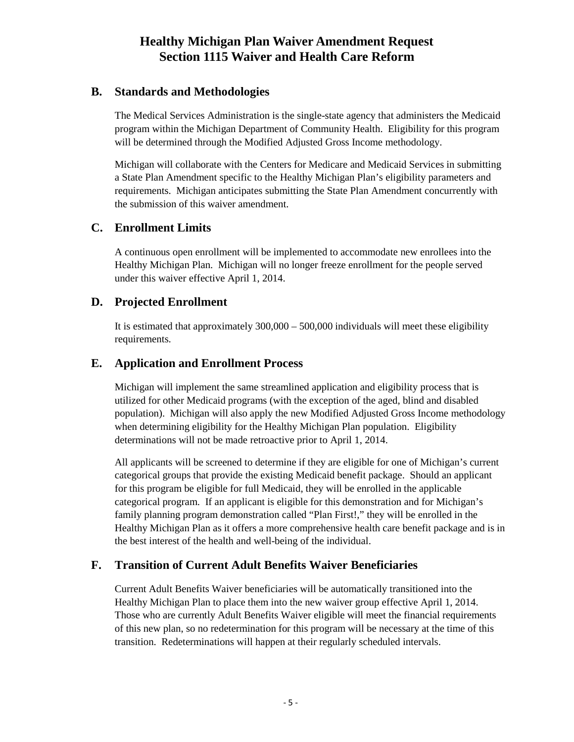#### <span id="page-8-0"></span>**B. Standards and Methodologies**

The Medical Services Administration is the single-state agency that administers the Medicaid program within the Michigan Department of Community Health. Eligibility for this program will be determined through the Modified Adjusted Gross Income methodology.

Michigan will collaborate with the Centers for Medicare and Medicaid Services in submitting a State Plan Amendment specific to the Healthy Michigan Plan's eligibility parameters and requirements. Michigan anticipates submitting the State Plan Amendment concurrently with the submission of this waiver amendment.

#### <span id="page-8-1"></span>**C. Enrollment Limits**

A continuous open enrollment will be implemented to accommodate new enrollees into the Healthy Michigan Plan. Michigan will no longer freeze enrollment for the people served under this waiver effective April 1, 2014.

#### <span id="page-8-2"></span>**D. Projected Enrollment**

It is estimated that approximately 300,000 – 500,000 individuals will meet these eligibility requirements.

#### <span id="page-8-3"></span>**E. Application and Enrollment Process**

Michigan will implement the same streamlined application and eligibility process that is utilized for other Medicaid programs (with the exception of the aged, blind and disabled population). Michigan will also apply the new Modified Adjusted Gross Income methodology when determining eligibility for the Healthy Michigan Plan population. Eligibility determinations will not be made retroactive prior to April 1, 2014.

All applicants will be screened to determine if they are eligible for one of Michigan's current categorical groups that provide the existing Medicaid benefit package. Should an applicant for this program be eligible for full Medicaid, they will be enrolled in the applicable categorical program. If an applicant is eligible for this demonstration and for Michigan's family planning program demonstration called "Plan First!," they will be enrolled in the Healthy Michigan Plan as it offers a more comprehensive health care benefit package and is in the best interest of the health and well-being of the individual.

## <span id="page-8-4"></span>**F. Transition of Current Adult Benefits Waiver Beneficiaries**

Current Adult Benefits Waiver beneficiaries will be automatically transitioned into the Healthy Michigan Plan to place them into the new waiver group effective April 1, 2014. Those who are currently Adult Benefits Waiver eligible will meet the financial requirements of this new plan, so no redetermination for this program will be necessary at the time of this transition. Redeterminations will happen at their regularly scheduled intervals.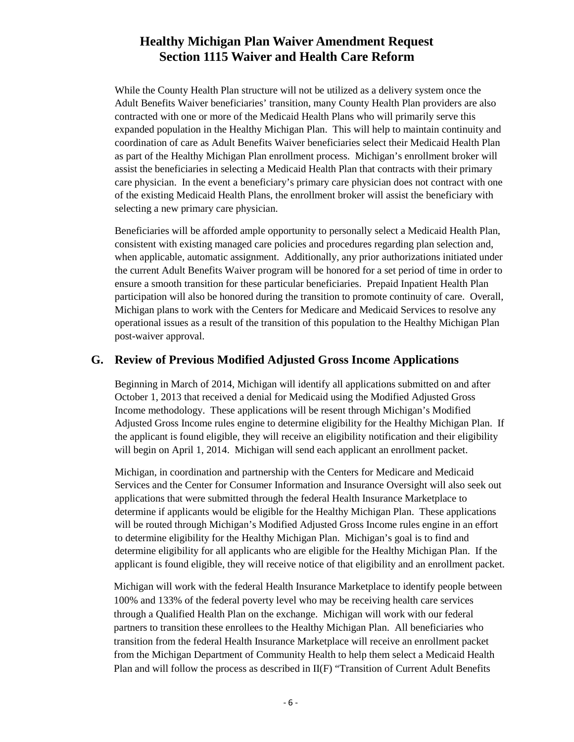While the County Health Plan structure will not be utilized as a delivery system once the Adult Benefits Waiver beneficiaries' transition, many County Health Plan providers are also contracted with one or more of the Medicaid Health Plans who will primarily serve this expanded population in the Healthy Michigan Plan. This will help to maintain continuity and coordination of care as Adult Benefits Waiver beneficiaries select their Medicaid Health Plan as part of the Healthy Michigan Plan enrollment process. Michigan's enrollment broker will assist the beneficiaries in selecting a Medicaid Health Plan that contracts with their primary care physician. In the event a beneficiary's primary care physician does not contract with one of the existing Medicaid Health Plans, the enrollment broker will assist the beneficiary with selecting a new primary care physician.

Beneficiaries will be afforded ample opportunity to personally select a Medicaid Health Plan, consistent with existing managed care policies and procedures regarding plan selection and, when applicable, automatic assignment. Additionally, any prior authorizations initiated under the current Adult Benefits Waiver program will be honored for a set period of time in order to ensure a smooth transition for these particular beneficiaries. Prepaid Inpatient Health Plan participation will also be honored during the transition to promote continuity of care. Overall, Michigan plans to work with the Centers for Medicare and Medicaid Services to resolve any operational issues as a result of the transition of this population to the Healthy Michigan Plan post-waiver approval.

#### <span id="page-9-0"></span>**G. Review of Previous Modified Adjusted Gross Income Applications**

Beginning in March of 2014, Michigan will identify all applications submitted on and after October 1, 2013 that received a denial for Medicaid using the Modified Adjusted Gross Income methodology. These applications will be resent through Michigan's Modified Adjusted Gross Income rules engine to determine eligibility for the Healthy Michigan Plan. If the applicant is found eligible, they will receive an eligibility notification and their eligibility will begin on April 1, 2014. Michigan will send each applicant an enrollment packet.

Michigan, in coordination and partnership with the Centers for Medicare and Medicaid Services and the Center for Consumer Information and Insurance Oversight will also seek out applications that were submitted through the federal Health Insurance Marketplace to determine if applicants would be eligible for the Healthy Michigan Plan. These applications will be routed through Michigan's Modified Adjusted Gross Income rules engine in an effort to determine eligibility for the Healthy Michigan Plan. Michigan's goal is to find and determine eligibility for all applicants who are eligible for the Healthy Michigan Plan. If the applicant is found eligible, they will receive notice of that eligibility and an enrollment packet.

Michigan will work with the federal Health Insurance Marketplace to identify people between 100% and 133% of the federal poverty level who may be receiving health care services through a Qualified Health Plan on the exchange. Michigan will work with our federal partners to transition these enrollees to the Healthy Michigan Plan. All beneficiaries who transition from the federal Health Insurance Marketplace will receive an enrollment packet from the Michigan Department of Community Health to help them select a Medicaid Health Plan and will follow the process as described in II(F) "Transition of Current Adult Benefits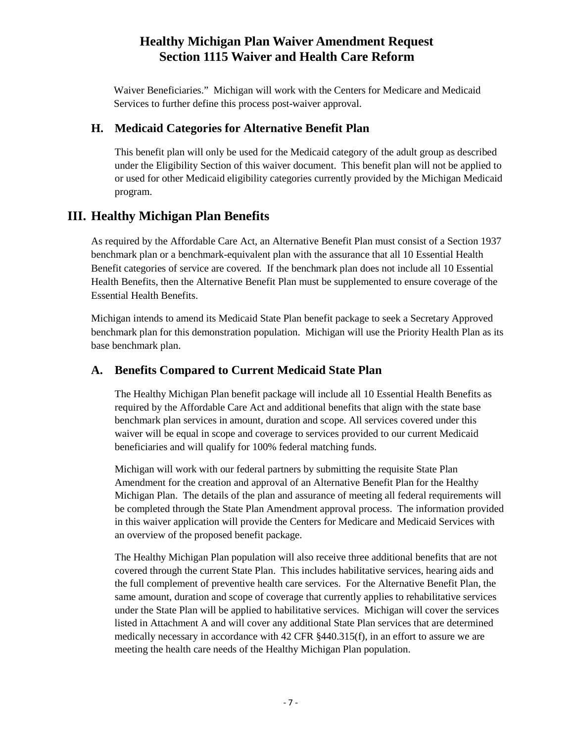Waiver Beneficiaries." Michigan will work with the Centers for Medicare and Medicaid Services to further define this process post-waiver approval.

## <span id="page-10-0"></span>**H. Medicaid Categories for Alternative Benefit Plan**

This benefit plan will only be used for the Medicaid category of the adult group as described under the Eligibility Section of this waiver document. This benefit plan will not be applied to or used for other Medicaid eligibility categories currently provided by the Michigan Medicaid program.

## <span id="page-10-1"></span>**III. Healthy Michigan Plan Benefits**

As required by the Affordable Care Act, an Alternative Benefit Plan must consist of a Section 1937 benchmark plan or a benchmark-equivalent plan with the assurance that all 10 Essential Health Benefit categories of service are covered. If the benchmark plan does not include all 10 Essential Health Benefits, then the Alternative Benefit Plan must be supplemented to ensure coverage of the Essential Health Benefits.

Michigan intends to amend its Medicaid State Plan benefit package to seek a Secretary Approved benchmark plan for this demonstration population. Michigan will use the Priority Health Plan as its base benchmark plan.

## <span id="page-10-2"></span>**A. Benefits Compared to Current Medicaid State Plan**

The Healthy Michigan Plan benefit package will include all 10 Essential Health Benefits as required by the Affordable Care Act and additional benefits that align with the state base benchmark plan services in amount, duration and scope. All services covered under this waiver will be equal in scope and coverage to services provided to our current Medicaid beneficiaries and will qualify for 100% federal matching funds.

Michigan will work with our federal partners by submitting the requisite State Plan Amendment for the creation and approval of an Alternative Benefit Plan for the Healthy Michigan Plan. The details of the plan and assurance of meeting all federal requirements will be completed through the State Plan Amendment approval process. The information provided in this waiver application will provide the Centers for Medicare and Medicaid Services with an overview of the proposed benefit package.

The Healthy Michigan Plan population will also receive three additional benefits that are not covered through the current State Plan. This includes habilitative services, hearing aids and the full complement of preventive health care services. For the Alternative Benefit Plan, the same amount, duration and scope of coverage that currently applies to rehabilitative services under the State Plan will be applied to habilitative services. Michigan will cover the services listed in Attachment A and will cover any additional State Plan services that are determined medically necessary in accordance with 42 CFR §440.315(f), in an effort to assure we are meeting the health care needs of the Healthy Michigan Plan population.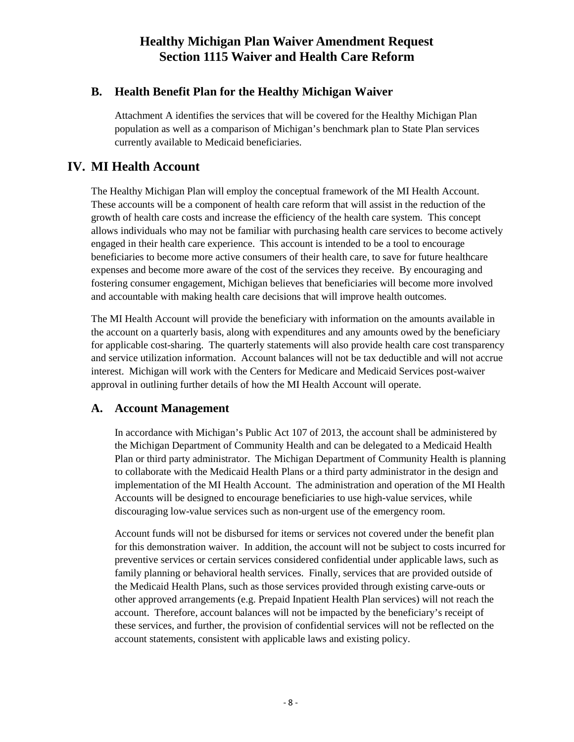## <span id="page-11-0"></span>**B. Health Benefit Plan for the Healthy Michigan Waiver**

Attachment A identifies the services that will be covered for the Healthy Michigan Plan population as well as a comparison of Michigan's benchmark plan to State Plan services currently available to Medicaid beneficiaries.

## <span id="page-11-1"></span>**IV. MI Health Account**

The Healthy Michigan Plan will employ the conceptual framework of the MI Health Account. These accounts will be a component of health care reform that will assist in the reduction of the growth of health care costs and increase the efficiency of the health care system. This concept allows individuals who may not be familiar with purchasing health care services to become actively engaged in their health care experience. This account is intended to be a tool to encourage beneficiaries to become more active consumers of their health care, to save for future healthcare expenses and become more aware of the cost of the services they receive. By encouraging and fostering consumer engagement, Michigan believes that beneficiaries will become more involved and accountable with making health care decisions that will improve health outcomes.

The MI Health Account will provide the beneficiary with information on the amounts available in the account on a quarterly basis, along with expenditures and any amounts owed by the beneficiary for applicable cost-sharing. The quarterly statements will also provide health care cost transparency and service utilization information. Account balances will not be tax deductible and will not accrue interest. Michigan will work with the Centers for Medicare and Medicaid Services post-waiver approval in outlining further details of how the MI Health Account will operate.

## <span id="page-11-2"></span>**A. Account Management**

In accordance with Michigan's Public Act 107 of 2013, the account shall be administered by the Michigan Department of Community Health and can be delegated to a Medicaid Health Plan or third party administrator. The Michigan Department of Community Health is planning to collaborate with the Medicaid Health Plans or a third party administrator in the design and implementation of the MI Health Account. The administration and operation of the MI Health Accounts will be designed to encourage beneficiaries to use high-value services, while discouraging low-value services such as non-urgent use of the emergency room.

Account funds will not be disbursed for items or services not covered under the benefit plan for this demonstration waiver. In addition, the account will not be subject to costs incurred for preventive services or certain services considered confidential under applicable laws, such as family planning or behavioral health services. Finally, services that are provided outside of the Medicaid Health Plans, such as those services provided through existing carve-outs or other approved arrangements (e.g. Prepaid Inpatient Health Plan services) will not reach the account. Therefore, account balances will not be impacted by the beneficiary's receipt of these services, and further, the provision of confidential services will not be reflected on the account statements, consistent with applicable laws and existing policy.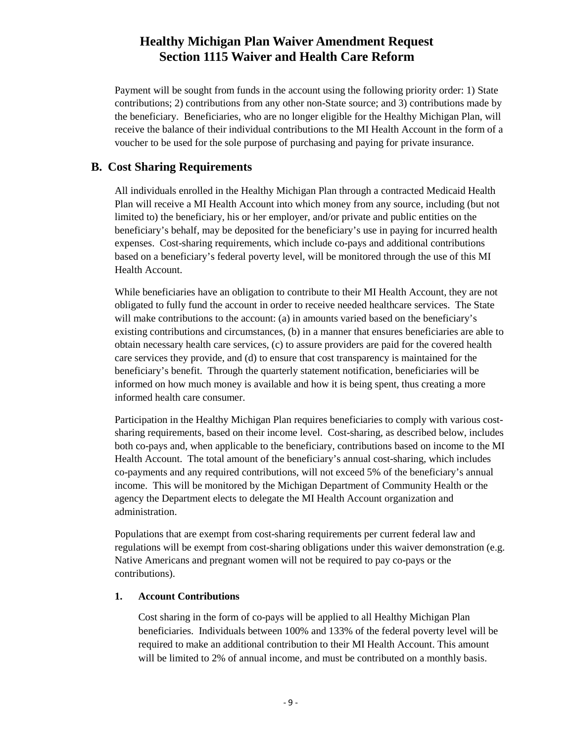Payment will be sought from funds in the account using the following priority order: 1) State contributions; 2) contributions from any other non-State source; and 3) contributions made by the beneficiary. Beneficiaries, who are no longer eligible for the Healthy Michigan Plan, will receive the balance of their individual contributions to the MI Health Account in the form of a voucher to be used for the sole purpose of purchasing and paying for private insurance.

#### <span id="page-12-0"></span>**B. Cost Sharing Requirements**

All individuals enrolled in the Healthy Michigan Plan through a contracted Medicaid Health Plan will receive a MI Health Account into which money from any source, including (but not limited to) the beneficiary, his or her employer, and/or private and public entities on the beneficiary's behalf, may be deposited for the beneficiary's use in paying for incurred health expenses. Cost-sharing requirements, which include co-pays and additional contributions based on a beneficiary's federal poverty level, will be monitored through the use of this MI Health Account.

While beneficiaries have an obligation to contribute to their MI Health Account, they are not obligated to fully fund the account in order to receive needed healthcare services. The State will make contributions to the account: (a) in amounts varied based on the beneficiary's existing contributions and circumstances, (b) in a manner that ensures beneficiaries are able to obtain necessary health care services, (c) to assure providers are paid for the covered health care services they provide, and (d) to ensure that cost transparency is maintained for the beneficiary's benefit. Through the quarterly statement notification, beneficiaries will be informed on how much money is available and how it is being spent, thus creating a more informed health care consumer.

Participation in the Healthy Michigan Plan requires beneficiaries to comply with various costsharing requirements, based on their income level. Cost-sharing, as described below, includes both co-pays and, when applicable to the beneficiary, contributions based on income to the MI Health Account. The total amount of the beneficiary's annual cost-sharing, which includes co-payments and any required contributions, will not exceed 5% of the beneficiary's annual income. This will be monitored by the Michigan Department of Community Health or the agency the Department elects to delegate the MI Health Account organization and administration.

Populations that are exempt from cost-sharing requirements per current federal law and regulations will be exempt from cost-sharing obligations under this waiver demonstration (e.g. Native Americans and pregnant women will not be required to pay co-pays or the contributions).

#### <span id="page-12-1"></span>**1. Account Contributions**

Cost sharing in the form of co-pays will be applied to all Healthy Michigan Plan beneficiaries. Individuals between 100% and 133% of the federal poverty level will be required to make an additional contribution to their MI Health Account. This amount will be limited to 2% of annual income, and must be contributed on a monthly basis.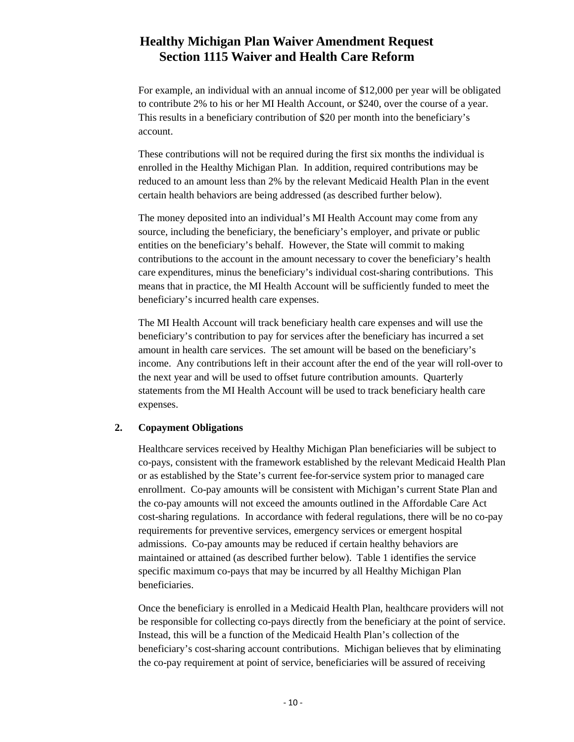For example, an individual with an annual income of \$12,000 per year will be obligated to contribute 2% to his or her MI Health Account, or \$240, over the course of a year. This results in a beneficiary contribution of \$20 per month into the beneficiary's account.

These contributions will not be required during the first six months the individual is enrolled in the Healthy Michigan Plan. In addition, required contributions may be reduced to an amount less than 2% by the relevant Medicaid Health Plan in the event certain health behaviors are being addressed (as described further below).

The money deposited into an individual's MI Health Account may come from any source, including the beneficiary, the beneficiary's employer, and private or public entities on the beneficiary's behalf. However, the State will commit to making contributions to the account in the amount necessary to cover the beneficiary's health care expenditures, minus the beneficiary's individual cost-sharing contributions. This means that in practice, the MI Health Account will be sufficiently funded to meet the beneficiary's incurred health care expenses.

The MI Health Account will track beneficiary health care expenses and will use the beneficiary's contribution to pay for services after the beneficiary has incurred a set amount in health care services. The set amount will be based on the beneficiary's income. Any contributions left in their account after the end of the year will roll-over to the next year and will be used to offset future contribution amounts. Quarterly statements from the MI Health Account will be used to track beneficiary health care expenses.

#### <span id="page-13-0"></span>**2. Copayment Obligations**

Healthcare services received by Healthy Michigan Plan beneficiaries will be subject to co-pays, consistent with the framework established by the relevant Medicaid Health Plan or as established by the State's current fee-for-service system prior to managed care enrollment. Co-pay amounts will be consistent with Michigan's current State Plan and the co-pay amounts will not exceed the amounts outlined in the Affordable Care Act cost-sharing regulations. In accordance with federal regulations, there will be no co-pay requirements for preventive services, emergency services or emergent hospital admissions. Co-pay amounts may be reduced if certain healthy behaviors are maintained or attained (as described further below). Table 1 identifies the service specific maximum co-pays that may be incurred by all Healthy Michigan Plan beneficiaries.

Once the beneficiary is enrolled in a Medicaid Health Plan, healthcare providers will not be responsible for collecting co-pays directly from the beneficiary at the point of service. Instead, this will be a function of the Medicaid Health Plan's collection of the beneficiary's cost-sharing account contributions. Michigan believes that by eliminating the co-pay requirement at point of service, beneficiaries will be assured of receiving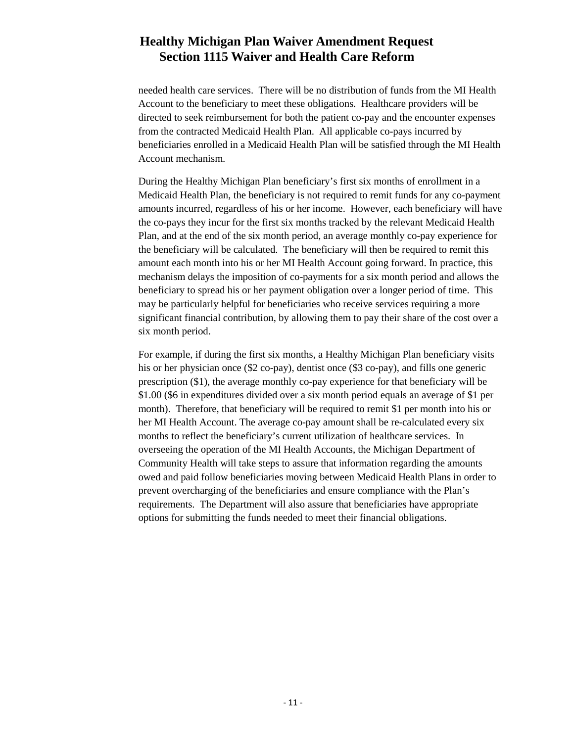needed health care services. There will be no distribution of funds from the MI Health Account to the beneficiary to meet these obligations. Healthcare providers will be directed to seek reimbursement for both the patient co-pay and the encounter expenses from the contracted Medicaid Health Plan. All applicable co-pays incurred by beneficiaries enrolled in a Medicaid Health Plan will be satisfied through the MI Health Account mechanism.

During the Healthy Michigan Plan beneficiary's first six months of enrollment in a Medicaid Health Plan, the beneficiary is not required to remit funds for any co-payment amounts incurred, regardless of his or her income. However, each beneficiary will have the co-pays they incur for the first six months tracked by the relevant Medicaid Health Plan, and at the end of the six month period, an average monthly co-pay experience for the beneficiary will be calculated. The beneficiary will then be required to remit this amount each month into his or her MI Health Account going forward. In practice, this mechanism delays the imposition of co-payments for a six month period and allows the beneficiary to spread his or her payment obligation over a longer period of time. This may be particularly helpful for beneficiaries who receive services requiring a more significant financial contribution, by allowing them to pay their share of the cost over a six month period.

For example, if during the first six months, a Healthy Michigan Plan beneficiary visits his or her physician once (\$2 co-pay), dentist once (\$3 co-pay), and fills one generic prescription (\$1), the average monthly co-pay experience for that beneficiary will be \$1.00 (\$6 in expenditures divided over a six month period equals an average of \$1 per month). Therefore, that beneficiary will be required to remit \$1 per month into his or her MI Health Account. The average co-pay amount shall be re-calculated every six months to reflect the beneficiary's current utilization of healthcare services. In overseeing the operation of the MI Health Accounts, the Michigan Department of Community Health will take steps to assure that information regarding the amounts owed and paid follow beneficiaries moving between Medicaid Health Plans in order to prevent overcharging of the beneficiaries and ensure compliance with the Plan's requirements. The Department will also assure that beneficiaries have appropriate options for submitting the funds needed to meet their financial obligations.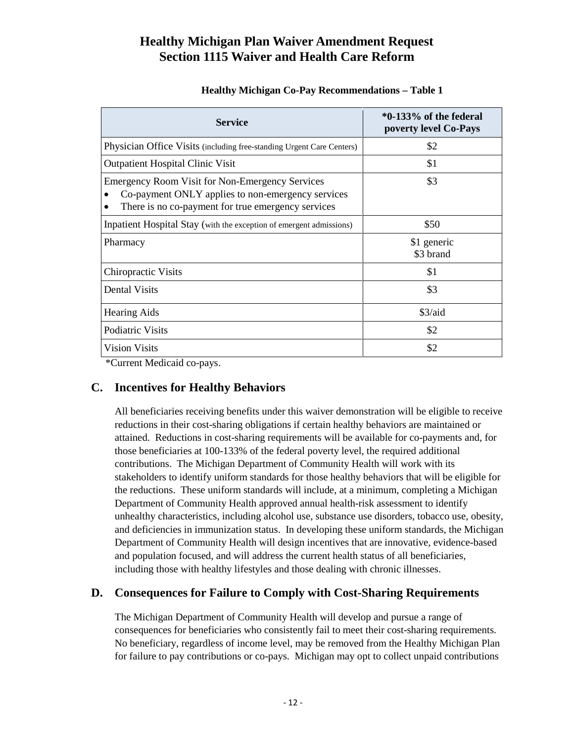#### **Healthy Michigan Co-Pay Recommendations – Table 1**

| <b>Service</b>                                                                                                                                                    | $*0-133%$ of the federal<br>poverty level Co-Pays |
|-------------------------------------------------------------------------------------------------------------------------------------------------------------------|---------------------------------------------------|
| Physician Office Visits (including free-standing Urgent Care Centers)                                                                                             | \$2                                               |
| <b>Outpatient Hospital Clinic Visit</b>                                                                                                                           | \$1                                               |
| <b>Emergency Room Visit for Non-Emergency Services</b><br>Co-payment ONLY applies to non-emergency services<br>There is no co-payment for true emergency services | \$3                                               |
| Inpatient Hospital Stay (with the exception of emergent admissions)                                                                                               | \$50                                              |
| Pharmacy                                                                                                                                                          | \$1 generic<br>\$3 brand                          |
| <b>Chiropractic Visits</b>                                                                                                                                        | \$1                                               |
| Dental Visits                                                                                                                                                     | \$3                                               |
| <b>Hearing Aids</b>                                                                                                                                               | \$3/aid                                           |
| Podiatric Visits                                                                                                                                                  | \$2                                               |
| <b>Vision Visits</b>                                                                                                                                              | \$2                                               |

\*Current Medicaid co-pays.

## <span id="page-15-0"></span>**C. Incentives for Healthy Behaviors**

All beneficiaries receiving benefits under this waiver demonstration will be eligible to receive reductions in their cost-sharing obligations if certain healthy behaviors are maintained or attained. Reductions in cost-sharing requirements will be available for co-payments and, for those beneficiaries at 100-133% of the federal poverty level, the required additional contributions. The Michigan Department of Community Health will work with its stakeholders to identify uniform standards for those healthy behaviors that will be eligible for the reductions. These uniform standards will include, at a minimum, completing a Michigan Department of Community Health approved annual health-risk assessment to identify unhealthy characteristics, including alcohol use, substance use disorders, tobacco use, obesity, and deficiencies in immunization status. In developing these uniform standards, the Michigan Department of Community Health will design incentives that are innovative, evidence-based and population focused, and will address the current health status of all beneficiaries, including those with healthy lifestyles and those dealing with chronic illnesses.

## <span id="page-15-1"></span>**D. Consequences for Failure to Comply with Cost-Sharing Requirements**

The Michigan Department of Community Health will develop and pursue a range of consequences for beneficiaries who consistently fail to meet their cost-sharing requirements. No beneficiary, regardless of income level, may be removed from the Healthy Michigan Plan for failure to pay contributions or co-pays. Michigan may opt to collect unpaid contributions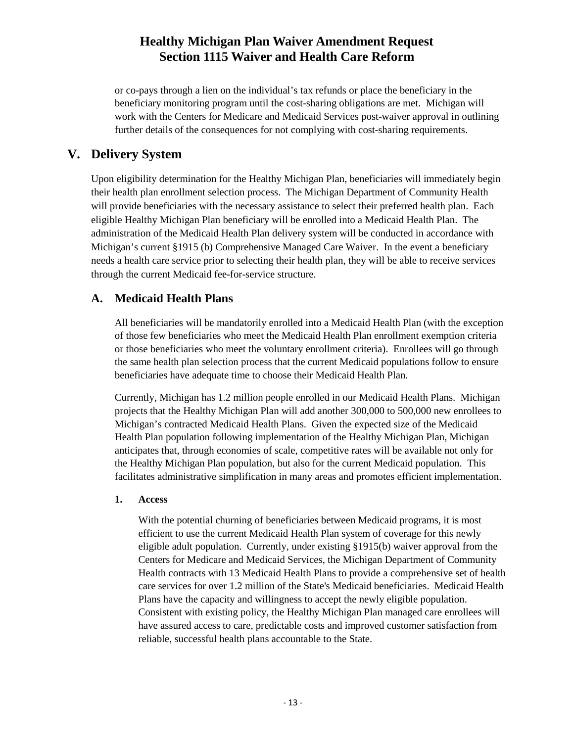or co-pays through a lien on the individual's tax refunds or place the beneficiary in the beneficiary monitoring program until the cost-sharing obligations are met. Michigan will work with the Centers for Medicare and Medicaid Services post-waiver approval in outlining further details of the consequences for not complying with cost-sharing requirements.

## <span id="page-16-0"></span>**V. Delivery System**

Upon eligibility determination for the Healthy Michigan Plan, beneficiaries will immediately begin their health plan enrollment selection process. The Michigan Department of Community Health will provide beneficiaries with the necessary assistance to select their preferred health plan. Each eligible Healthy Michigan Plan beneficiary will be enrolled into a Medicaid Health Plan. The administration of the Medicaid Health Plan delivery system will be conducted in accordance with Michigan's current §1915 (b) Comprehensive Managed Care Waiver. In the event a beneficiary needs a health care service prior to selecting their health plan, they will be able to receive services through the current Medicaid fee-for-service structure.

## <span id="page-16-1"></span>**A. Medicaid Health Plans**

All beneficiaries will be mandatorily enrolled into a Medicaid Health Plan (with the exception of those few beneficiaries who meet the Medicaid Health Plan enrollment exemption criteria or those beneficiaries who meet the voluntary enrollment criteria). Enrollees will go through the same health plan selection process that the current Medicaid populations follow to ensure beneficiaries have adequate time to choose their Medicaid Health Plan.

Currently, Michigan has 1.2 million people enrolled in our Medicaid Health Plans. Michigan projects that the Healthy Michigan Plan will add another 300,000 to 500,000 new enrollees to Michigan's contracted Medicaid Health Plans. Given the expected size of the Medicaid Health Plan population following implementation of the Healthy Michigan Plan, Michigan anticipates that, through economies of scale, competitive rates will be available not only for the Healthy Michigan Plan population, but also for the current Medicaid population. This facilitates administrative simplification in many areas and promotes efficient implementation.

#### <span id="page-16-2"></span>**1. Access**

With the potential churning of beneficiaries between Medicaid programs, it is most efficient to use the current Medicaid Health Plan system of coverage for this newly eligible adult population. Currently, under existing §1915(b) waiver approval from the Centers for Medicare and Medicaid Services, the Michigan Department of Community Health contracts with 13 Medicaid Health Plans to provide a comprehensive set of health care services for over 1.2 million of the State's Medicaid beneficiaries. Medicaid Health Plans have the capacity and willingness to accept the newly eligible population. Consistent with existing policy, the Healthy Michigan Plan managed care enrollees will have assured access to care, predictable costs and improved customer satisfaction from reliable, successful health plans accountable to the State.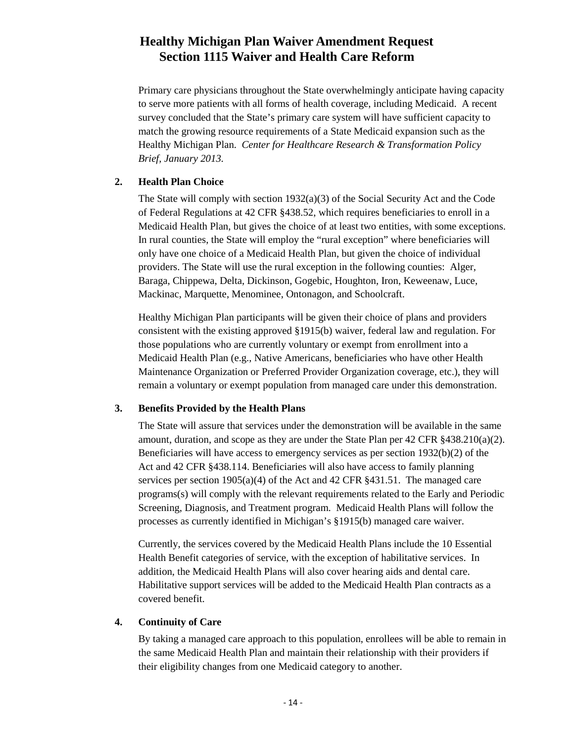Primary care physicians throughout the State overwhelmingly anticipate having capacity to serve more patients with all forms of health coverage, including Medicaid. A recent survey concluded that the State's primary care system will have sufficient capacity to match the growing resource requirements of a State Medicaid expansion such as the Healthy Michigan Plan. *Center for Healthcare Research & Transformation Policy Brief, January 2013.*

#### <span id="page-17-0"></span>**2. Health Plan Choice**

The State will comply with section  $1932(a)(3)$  of the Social Security Act and the Code of Federal Regulations at 42 CFR §438.52, which requires beneficiaries to enroll in a Medicaid Health Plan, but gives the choice of at least two entities, with some exceptions. In rural counties, the State will employ the "rural exception" where beneficiaries will only have one choice of a Medicaid Health Plan, but given the choice of individual providers. The State will use the rural exception in the following counties: Alger, Baraga, Chippewa, Delta, Dickinson, Gogebic, Houghton, Iron, Keweenaw, Luce, Mackinac, Marquette, Menominee, Ontonagon, and Schoolcraft.

Healthy Michigan Plan participants will be given their choice of plans and providers consistent with the existing approved §1915(b) waiver, federal law and regulation. For those populations who are currently voluntary or exempt from enrollment into a Medicaid Health Plan (e.g., Native Americans, beneficiaries who have other Health Maintenance Organization or Preferred Provider Organization coverage, etc.), they will remain a voluntary or exempt population from managed care under this demonstration.

#### <span id="page-17-1"></span>**3. Benefits Provided by the Health Plans**

The State will assure that services under the demonstration will be available in the same amount, duration, and scope as they are under the State Plan per  $42$  CFR  $§438.210(a)(2)$ . Beneficiaries will have access to emergency services as per section 1932(b)(2) of the Act and 42 CFR §438.114. Beneficiaries will also have access to family planning services per section 1905(a)(4) of the Act and 42 CFR §431.51. The managed care programs(s) will comply with the relevant requirements related to the Early and Periodic Screening, Diagnosis, and Treatment program. Medicaid Health Plans will follow the processes as currently identified in Michigan's §1915(b) managed care waiver.

Currently, the services covered by the Medicaid Health Plans include the 10 Essential Health Benefit categories of service, with the exception of habilitative services. In addition, the Medicaid Health Plans will also cover hearing aids and dental care. Habilitative support services will be added to the Medicaid Health Plan contracts as a covered benefit.

#### <span id="page-17-2"></span>**4. Continuity of Care**

By taking a managed care approach to this population, enrollees will be able to remain in the same Medicaid Health Plan and maintain their relationship with their providers if their eligibility changes from one Medicaid category to another.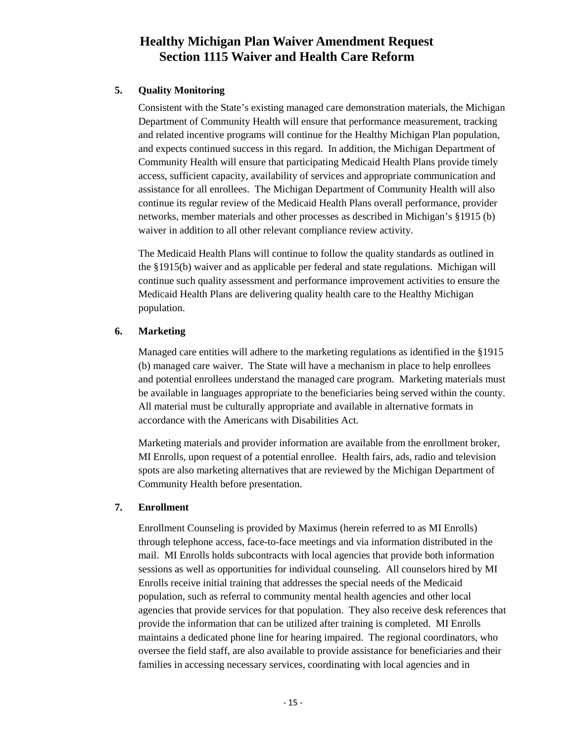#### <span id="page-18-0"></span>**5. Quality Monitoring**

Consistent with the State's existing managed care demonstration materials, the Michigan Department of Community Health will ensure that performance measurement, tracking and related incentive programs will continue for the Healthy Michigan Plan population, and expects continued success in this regard. In addition, the Michigan Department of Community Health will ensure that participating Medicaid Health Plans provide timely access, sufficient capacity, availability of services and appropriate communication and assistance for all enrollees. The Michigan Department of Community Health will also continue its regular review of the Medicaid Health Plans overall performance, provider networks, member materials and other processes as described in Michigan's §1915 (b) waiver in addition to all other relevant compliance review activity.

The Medicaid Health Plans will continue to follow the quality standards as outlined in the §1915(b) waiver and as applicable per federal and state regulations. Michigan will continue such quality assessment and performance improvement activities to ensure the Medicaid Health Plans are delivering quality health care to the Healthy Michigan population.

#### <span id="page-18-1"></span>**6. Marketing**

Managed care entities will adhere to the marketing regulations as identified in the §1915 (b) managed care waiver. The State will have a mechanism in place to help enrollees and potential enrollees understand the managed care program. Marketing materials must be available in languages appropriate to the beneficiaries being served within the county. All material must be culturally appropriate and available in alternative formats in accordance with the Americans with Disabilities Act.

Marketing materials and provider information are available from the enrollment broker, MI Enrolls, upon request of a potential enrollee. Health fairs, ads, radio and television spots are also marketing alternatives that are reviewed by the Michigan Department of Community Health before presentation.

#### <span id="page-18-2"></span>**7. Enrollment**

Enrollment Counseling is provided by Maximus (herein referred to as MI Enrolls) through telephone access, face-to-face meetings and via information distributed in the mail. MI Enrolls holds subcontracts with local agencies that provide both information sessions as well as opportunities for individual counseling. All counselors hired by MI Enrolls receive initial training that addresses the special needs of the Medicaid population, such as referral to community mental health agencies and other local agencies that provide services for that population. They also receive desk references that provide the information that can be utilized after training is completed. MI Enrolls maintains a dedicated phone line for hearing impaired. The regional coordinators, who oversee the field staff, are also available to provide assistance for beneficiaries and their families in accessing necessary services, coordinating with local agencies and in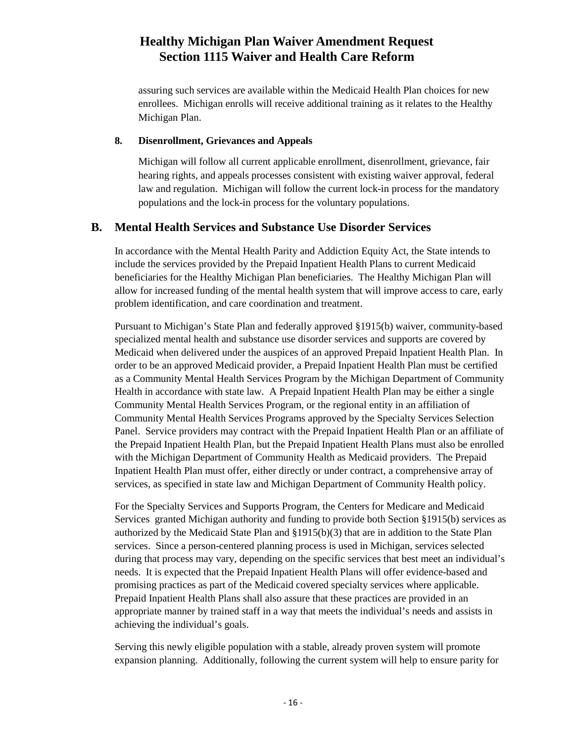assuring such services are available within the Medicaid Health Plan choices for new enrollees. Michigan enrolls will receive additional training as it relates to the Healthy Michigan Plan.

#### <span id="page-19-0"></span>**8. Disenrollment, Grievances and Appeals**

Michigan will follow all current applicable enrollment, disenrollment, grievance, fair hearing rights, and appeals processes consistent with existing waiver approval, federal law and regulation. Michigan will follow the current lock-in process for the mandatory populations and the lock-in process for the voluntary populations.

#### <span id="page-19-1"></span>**B. Mental Health Services and Substance Use Disorder Services**

In accordance with the Mental Health Parity and Addiction Equity Act, the State intends to include the services provided by the Prepaid Inpatient Health Plans to current Medicaid beneficiaries for the Healthy Michigan Plan beneficiaries. The Healthy Michigan Plan will allow for increased funding of the mental health system that will improve access to care, early problem identification, and care coordination and treatment.

Pursuant to Michigan's State Plan and federally approved §1915(b) waiver, community-based specialized mental health and substance use disorder services and supports are covered by Medicaid when delivered under the auspices of an approved Prepaid Inpatient Health Plan. In order to be an approved Medicaid provider, a Prepaid Inpatient Health Plan must be certified as a Community Mental Health Services Program by the Michigan Department of Community Health in accordance with state law. A Prepaid Inpatient Health Plan may be either a single Community Mental Health Services Program, or the regional entity in an affiliation of Community Mental Health Services Programs approved by the Specialty Services Selection Panel. Service providers may contract with the Prepaid Inpatient Health Plan or an affiliate of the Prepaid Inpatient Health Plan, but the Prepaid Inpatient Health Plans must also be enrolled with the Michigan Department of Community Health as Medicaid providers. The Prepaid Inpatient Health Plan must offer, either directly or under contract, a comprehensive array of services, as specified in state law and Michigan Department of Community Health policy.

For the Specialty Services and Supports Program, the Centers for Medicare and Medicaid Services granted Michigan authority and funding to provide both Section §1915(b) services as authorized by the Medicaid State Plan and §1915(b)(3) that are in addition to the State Plan services. Since a person-centered planning process is used in Michigan, services selected during that process may vary, depending on the specific services that best meet an individual's needs. It is expected that the Prepaid Inpatient Health Plans will offer evidence-based and promising practices as part of the Medicaid covered specialty services where applicable. Prepaid Inpatient Health Plans shall also assure that these practices are provided in an appropriate manner by trained staff in a way that meets the individual's needs and assists in achieving the individual's goals.

Serving this newly eligible population with a stable, already proven system will promote expansion planning. Additionally, following the current system will help to ensure parity for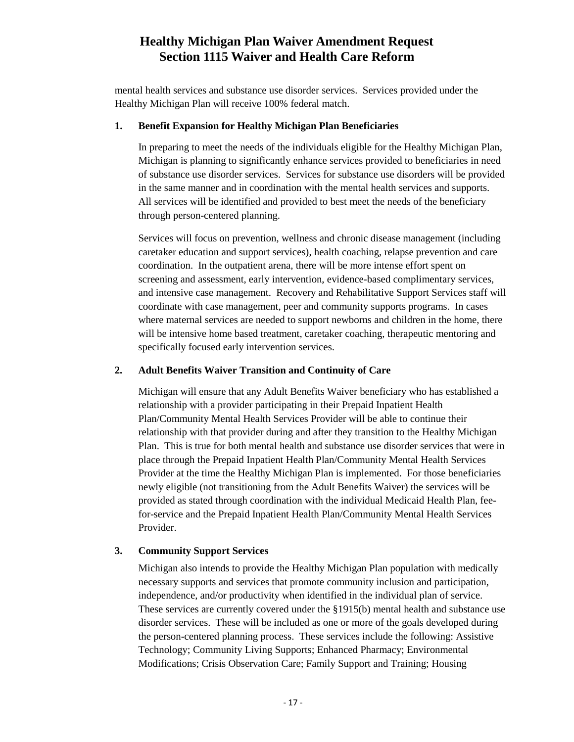mental health services and substance use disorder services. Services provided under the Healthy Michigan Plan will receive 100% federal match.

#### <span id="page-20-0"></span>**1. Benefit Expansion for Healthy Michigan Plan Beneficiaries**

In preparing to meet the needs of the individuals eligible for the Healthy Michigan Plan, Michigan is planning to significantly enhance services provided to beneficiaries in need of substance use disorder services. Services for substance use disorders will be provided in the same manner and in coordination with the mental health services and supports. All services will be identified and provided to best meet the needs of the beneficiary through person-centered planning.

Services will focus on prevention, wellness and chronic disease management (including caretaker education and support services), health coaching, relapse prevention and care coordination. In the outpatient arena, there will be more intense effort spent on screening and assessment, early intervention, evidence-based complimentary services, and intensive case management. Recovery and Rehabilitative Support Services staff will coordinate with case management, peer and community supports programs. In cases where maternal services are needed to support newborns and children in the home, there will be intensive home based treatment, caretaker coaching, therapeutic mentoring and specifically focused early intervention services.

#### <span id="page-20-1"></span>**2. Adult Benefits Waiver Transition and Continuity of Care**

Michigan will ensure that any Adult Benefits Waiver beneficiary who has established a relationship with a provider participating in their Prepaid Inpatient Health Plan/Community Mental Health Services Provider will be able to continue their relationship with that provider during and after they transition to the Healthy Michigan Plan. This is true for both mental health and substance use disorder services that were in place through the Prepaid Inpatient Health Plan/Community Mental Health Services Provider at the time the Healthy Michigan Plan is implemented. For those beneficiaries newly eligible (not transitioning from the Adult Benefits Waiver) the services will be provided as stated through coordination with the individual Medicaid Health Plan, feefor-service and the Prepaid Inpatient Health Plan/Community Mental Health Services Provider.

#### <span id="page-20-2"></span>**3. Community Support Services**

Michigan also intends to provide the Healthy Michigan Plan population with medically necessary supports and services that promote community inclusion and participation, independence, and/or productivity when identified in the individual plan of service. These services are currently covered under the §1915(b) mental health and substance use disorder services. These will be included as one or more of the goals developed during the person-centered planning process. These services include the following: Assistive Technology; Community Living Supports; Enhanced Pharmacy; Environmental Modifications; Crisis Observation Care; Family Support and Training; Housing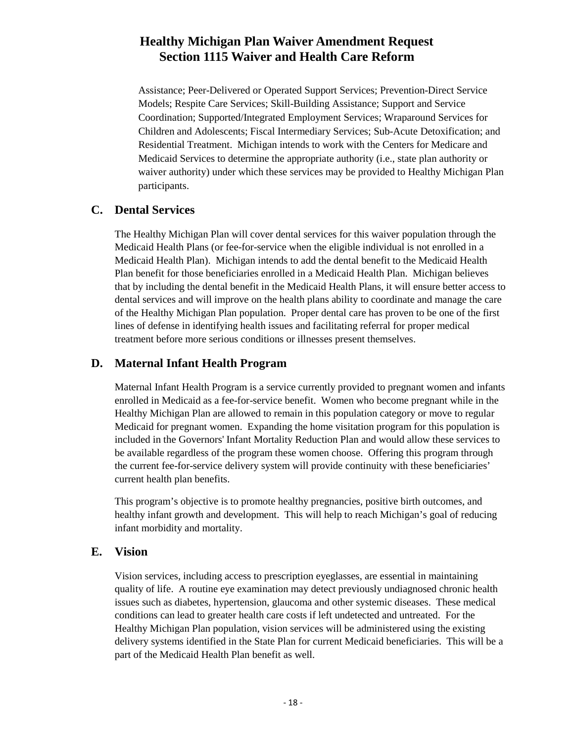Assistance; Peer-Delivered or Operated Support Services; Prevention-Direct Service Models; Respite Care Services; Skill-Building Assistance; Support and Service Coordination; Supported/Integrated Employment Services; Wraparound Services for Children and Adolescents; Fiscal Intermediary Services; Sub-Acute Detoxification; and Residential Treatment. Michigan intends to work with the Centers for Medicare and Medicaid Services to determine the appropriate authority (i.e., state plan authority or waiver authority) under which these services may be provided to Healthy Michigan Plan participants.

#### <span id="page-21-0"></span>**C. Dental Services**

The Healthy Michigan Plan will cover dental services for this waiver population through the Medicaid Health Plans (or fee-for-service when the eligible individual is not enrolled in a Medicaid Health Plan). Michigan intends to add the dental benefit to the Medicaid Health Plan benefit for those beneficiaries enrolled in a Medicaid Health Plan. Michigan believes that by including the dental benefit in the Medicaid Health Plans, it will ensure better access to dental services and will improve on the health plans ability to coordinate and manage the care of the Healthy Michigan Plan population. Proper dental care has proven to be one of the first lines of defense in identifying health issues and facilitating referral for proper medical treatment before more serious conditions or illnesses present themselves.

## <span id="page-21-1"></span>**D. Maternal Infant Health Program**

Maternal Infant Health Program is a service currently provided to pregnant women and infants enrolled in Medicaid as a fee-for-service benefit. Women who become pregnant while in the Healthy Michigan Plan are allowed to remain in this population category or move to regular Medicaid for pregnant women. Expanding the home visitation program for this population is included in the Governors' Infant Mortality Reduction Plan and would allow these services to be available regardless of the program these women choose. Offering this program through the current fee-for-service delivery system will provide continuity with these beneficiaries' current health plan benefits.

This program's objective is to promote healthy pregnancies, positive birth outcomes, and healthy infant growth and development. This will help to reach Michigan's goal of reducing infant morbidity and mortality.

#### <span id="page-21-2"></span>**E. Vision**

Vision services, including access to prescription eyeglasses, are essential in maintaining quality of life. A routine eye examination may detect previously undiagnosed chronic health issues such as diabetes, hypertension, glaucoma and other systemic diseases. These medical conditions can lead to greater health care costs if left undetected and untreated. For the Healthy Michigan Plan population, vision services will be administered using the existing delivery systems identified in the State Plan for current Medicaid beneficiaries. This will be a part of the Medicaid Health Plan benefit as well.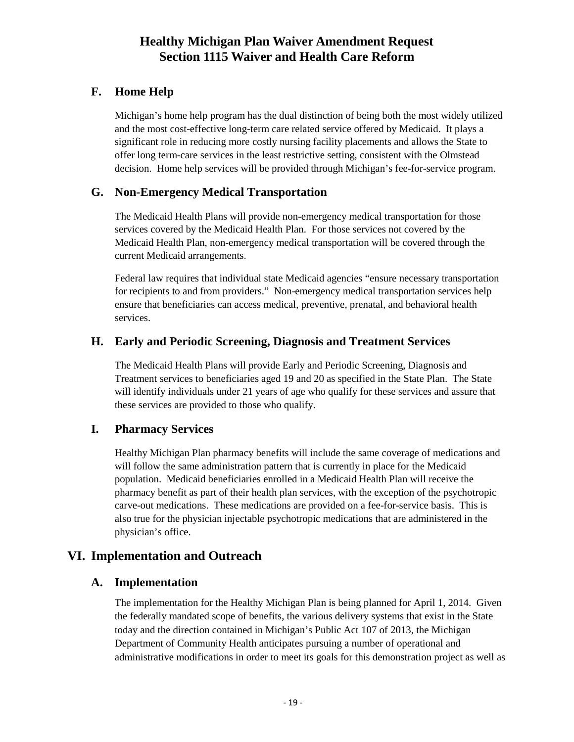## <span id="page-22-0"></span>**F. Home Help**

Michigan's home help program has the dual distinction of being both the most widely utilized and the most cost-effective long-term care related service offered by Medicaid. It plays a significant role in reducing more costly nursing facility placements and allows the State to offer long term-care services in the least restrictive setting, consistent with the Olmstead decision. Home help services will be provided through Michigan's fee-for-service program.

## <span id="page-22-1"></span>**G. Non-Emergency Medical Transportation**

The Medicaid Health Plans will provide non-emergency medical transportation for those services covered by the Medicaid Health Plan. For those services not covered by the Medicaid Health Plan, non-emergency medical transportation will be covered through the current Medicaid arrangements.

Federal law requires that individual state Medicaid agencies "ensure necessary transportation for recipients to and from providers." Non-emergency medical transportation services help ensure that beneficiaries can access medical, preventive, prenatal, and behavioral health services.

## <span id="page-22-2"></span>**H. Early and Periodic Screening, Diagnosis and Treatment Services**

The Medicaid Health Plans will provide Early and Periodic Screening, Diagnosis and Treatment services to beneficiaries aged 19 and 20 as specified in the State Plan. The State will identify individuals under 21 years of age who qualify for these services and assure that these services are provided to those who qualify.

## <span id="page-22-3"></span>**I. Pharmacy Services**

Healthy Michigan Plan pharmacy benefits will include the same coverage of medications and will follow the same administration pattern that is currently in place for the Medicaid population. Medicaid beneficiaries enrolled in a Medicaid Health Plan will receive the pharmacy benefit as part of their health plan services, with the exception of the psychotropic carve-out medications. These medications are provided on a fee-for-service basis. This is also true for the physician injectable psychotropic medications that are administered in the physician's office.

## <span id="page-22-4"></span>**VI. Implementation and Outreach**

## <span id="page-22-5"></span>**A. Implementation**

The implementation for the Healthy Michigan Plan is being planned for April 1, 2014. Given the federally mandated scope of benefits, the various delivery systems that exist in the State today and the direction contained in Michigan's Public Act 107 of 2013, the Michigan Department of Community Health anticipates pursuing a number of operational and administrative modifications in order to meet its goals for this demonstration project as well as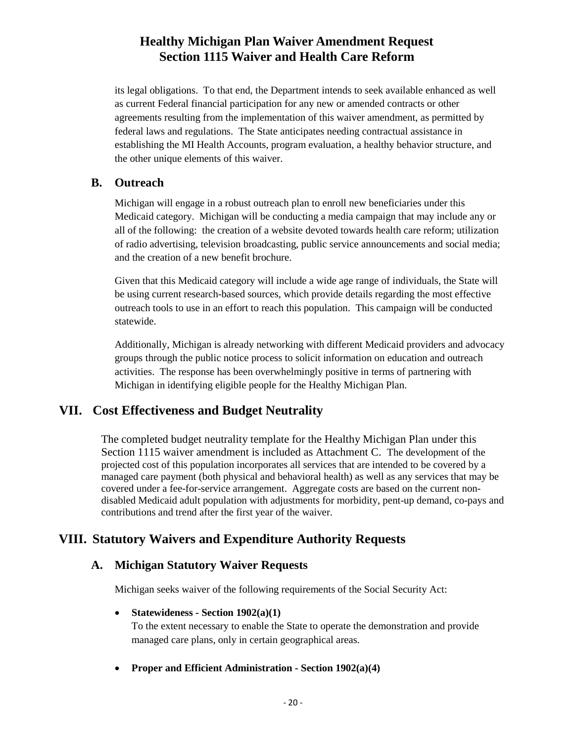its legal obligations. To that end, the Department intends to seek available enhanced as well as current Federal financial participation for any new or amended contracts or other agreements resulting from the implementation of this waiver amendment, as permitted by federal laws and regulations. The State anticipates needing contractual assistance in establishing the MI Health Accounts, program evaluation, a healthy behavior structure, and the other unique elements of this waiver.

#### <span id="page-23-0"></span>**B. Outreach**

Michigan will engage in a robust outreach plan to enroll new beneficiaries under this Medicaid category. Michigan will be conducting a media campaign that may include any or all of the following: the creation of a website devoted towards health care reform; utilization of radio advertising, television broadcasting, public service announcements and social media; and the creation of a new benefit brochure.

Given that this Medicaid category will include a wide age range of individuals, the State will be using current research-based sources, which provide details regarding the most effective outreach tools to use in an effort to reach this population. This campaign will be conducted statewide.

Additionally, Michigan is already networking with different Medicaid providers and advocacy groups through the public notice process to solicit information on education and outreach activities. The response has been overwhelmingly positive in terms of partnering with Michigan in identifying eligible people for the Healthy Michigan Plan.

## <span id="page-23-1"></span>**VII. Cost Effectiveness and Budget Neutrality**

The completed budget neutrality template for the Healthy Michigan Plan under this Section 1115 waiver amendment is included as Attachment C. The development of the projected cost of this population incorporates all services that are intended to be covered by a managed care payment (both physical and behavioral health) as well as any services that may be covered under a fee-for-service arrangement. Aggregate costs are based on the current nondisabled Medicaid adult population with adjustments for morbidity, pent-up demand, co-pays and contributions and trend after the first year of the waiver.

## <span id="page-23-2"></span>**VIII. Statutory Waivers and Expenditure Authority Requests**

## <span id="page-23-3"></span>**A. Michigan Statutory Waiver Requests**

Michigan seeks waiver of the following requirements of the Social Security Act:

#### • **Statewideness - Section 1902(a)(1)**

To the extent necessary to enable the State to operate the demonstration and provide managed care plans, only in certain geographical areas.

• **Proper and Efficient Administration - Section 1902(a)(4)**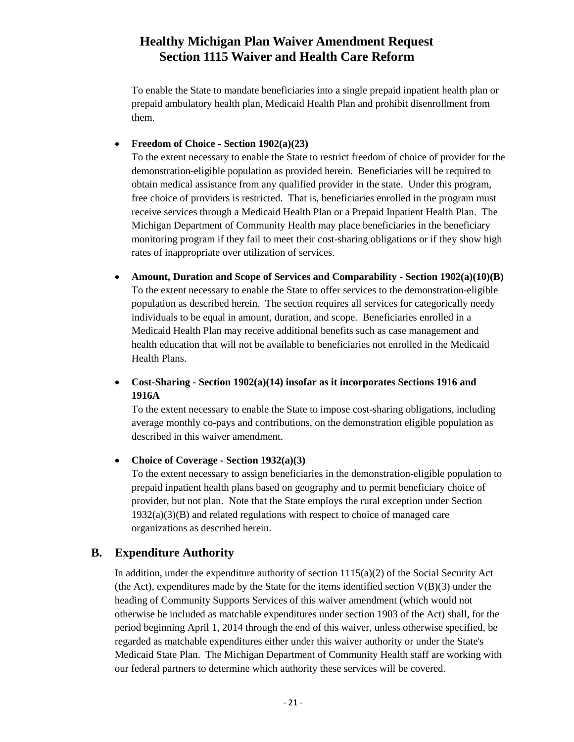To enable the State to mandate beneficiaries into a single prepaid inpatient health plan or prepaid ambulatory health plan, Medicaid Health Plan and prohibit disenrollment from them.

#### • **Freedom of Choice - Section 1902(a)(23)**

To the extent necessary to enable the State to restrict freedom of choice of provider for the demonstration-eligible population as provided herein. Beneficiaries will be required to obtain medical assistance from any qualified provider in the state. Under this program, free choice of providers is restricted. That is, beneficiaries enrolled in the program must receive services through a Medicaid Health Plan or a Prepaid Inpatient Health Plan. The Michigan Department of Community Health may place beneficiaries in the beneficiary monitoring program if they fail to meet their cost-sharing obligations or if they show high rates of inappropriate over utilization of services.

• **Amount, Duration and Scope of Services and Comparability - Section 1902(a)(10)(B)** To the extent necessary to enable the State to offer services to the demonstration-eligible population as described herein. The section requires all services for categorically needy individuals to be equal in amount, duration, and scope. Beneficiaries enrolled in a Medicaid Health Plan may receive additional benefits such as case management and health education that will not be available to beneficiaries not enrolled in the Medicaid Health Plans.

#### • **Cost-Sharing - Section 1902(a)(14) insofar as it incorporates Sections 1916 and 1916A**

To the extent necessary to enable the State to impose cost-sharing obligations, including average monthly co-pays and contributions, on the demonstration eligible population as described in this waiver amendment.

#### • **Choice of Coverage - Section 1932(a)(3)**

To the extent necessary to assign beneficiaries in the demonstration-eligible population to prepaid inpatient health plans based on geography and to permit beneficiary choice of provider, but not plan. Note that the State employs the rural exception under Section  $1932(a)(3)(B)$  and related regulations with respect to choice of managed care organizations as described herein.

## <span id="page-24-0"></span>**B. Expenditure Authority**

In addition, under the expenditure authority of section  $1115(a)(2)$  of the Social Security Act (the Act), expenditures made by the State for the items identified section  $V(B)(3)$  under the heading of Community Supports Services of this waiver amendment (which would not otherwise be included as matchable expenditures under section 1903 of the Act) shall, for the period beginning April 1, 2014 through the end of this waiver, unless otherwise specified, be regarded as matchable expenditures either under this waiver authority or under the State's Medicaid State Plan. The Michigan Department of Community Health staff are working with our federal partners to determine which authority these services will be covered.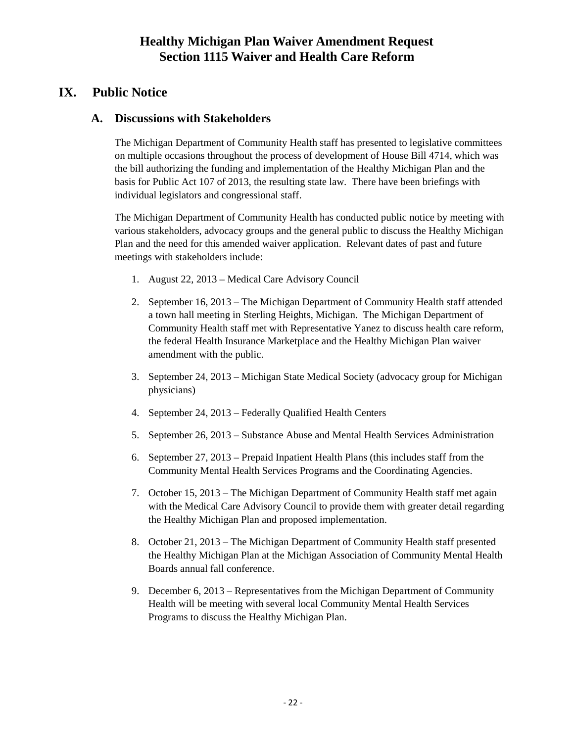## <span id="page-25-0"></span>**IX. Public Notice**

#### <span id="page-25-1"></span>**A. Discussions with Stakeholders**

The Michigan Department of Community Health staff has presented to legislative committees on multiple occasions throughout the process of development of House Bill 4714, which was the bill authorizing the funding and implementation of the Healthy Michigan Plan and the basis for Public Act 107 of 2013, the resulting state law. There have been briefings with individual legislators and congressional staff.

The Michigan Department of Community Health has conducted public notice by meeting with various stakeholders, advocacy groups and the general public to discuss the Healthy Michigan Plan and the need for this amended waiver application. Relevant dates of past and future meetings with stakeholders include:

- 1. August 22, 2013 Medical Care Advisory Council
- 2. September 16, 2013 The Michigan Department of Community Health staff attended a town hall meeting in Sterling Heights, Michigan. The Michigan Department of Community Health staff met with Representative Yanez to discuss health care reform, the federal Health Insurance Marketplace and the Healthy Michigan Plan waiver amendment with the public.
- 3. September 24, 2013 Michigan State Medical Society (advocacy group for Michigan physicians)
- 4. September 24, 2013 Federally Qualified Health Centers
- 5. September 26, 2013 Substance Abuse and Mental Health Services Administration
- 6. September 27, 2013 Prepaid Inpatient Health Plans (this includes staff from the Community Mental Health Services Programs and the Coordinating Agencies.
- 7. October 15, 2013 The Michigan Department of Community Health staff met again with the Medical Care Advisory Council to provide them with greater detail regarding the Healthy Michigan Plan and proposed implementation.
- 8. October 21, 2013 The Michigan Department of Community Health staff presented the Healthy Michigan Plan at the Michigan Association of Community Mental Health Boards annual fall conference.
- 9. December 6, 2013 Representatives from the Michigan Department of Community Health will be meeting with several local Community Mental Health Services Programs to discuss the Healthy Michigan Plan.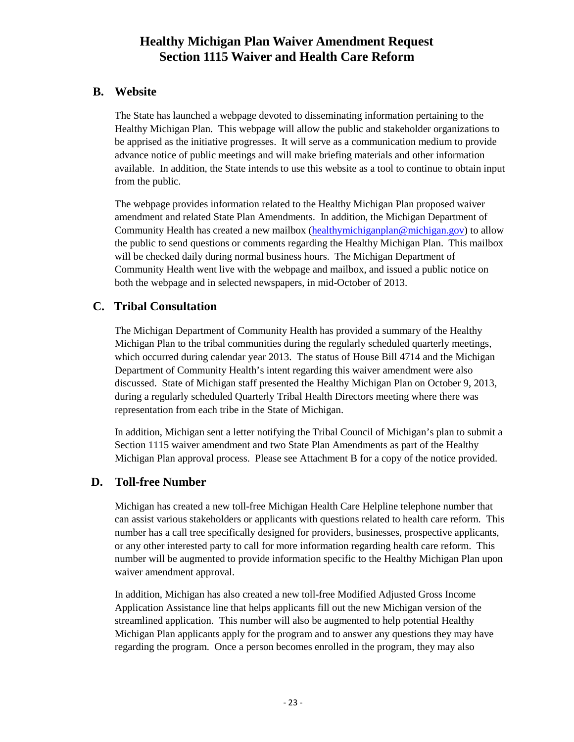## <span id="page-26-0"></span>**B. Website**

The State has launched a webpage devoted to disseminating information pertaining to the Healthy Michigan Plan. This webpage will allow the public and stakeholder organizations to be apprised as the initiative progresses. It will serve as a communication medium to provide advance notice of public meetings and will make briefing materials and other information available. In addition, the State intends to use this website as a tool to continue to obtain input from the public.

The webpage provides information related to the Healthy Michigan Plan proposed waiver amendment and related State Plan Amendments. In addition, the Michigan Department of Community Health has created a new mailbox [\(healthymichiganplan@michigan.gov\)](mailto:healthymichigan@michigan.gov) to allow the public to send questions or comments regarding the Healthy Michigan Plan. This mailbox will be checked daily during normal business hours. The Michigan Department of Community Health went live with the webpage and mailbox, and issued a public notice on both the webpage and in selected newspapers, in mid-October of 2013.

## <span id="page-26-1"></span>**C. Tribal Consultation**

The Michigan Department of Community Health has provided a summary of the Healthy Michigan Plan to the tribal communities during the regularly scheduled quarterly meetings, which occurred during calendar year 2013. The status of House Bill 4714 and the Michigan Department of Community Health's intent regarding this waiver amendment were also discussed. State of Michigan staff presented the Healthy Michigan Plan on October 9, 2013, during a regularly scheduled Quarterly Tribal Health Directors meeting where there was representation from each tribe in the State of Michigan.

In addition, Michigan sent a letter notifying the Tribal Council of Michigan's plan to submit a Section 1115 waiver amendment and two State Plan Amendments as part of the Healthy Michigan Plan approval process. Please see Attachment B for a copy of the notice provided.

#### <span id="page-26-2"></span>**D. Toll-free Number**

Michigan has created a new toll-free Michigan Health Care Helpline telephone number that can assist various stakeholders or applicants with questions related to health care reform. This number has a call tree specifically designed for providers, businesses, prospective applicants, or any other interested party to call for more information regarding health care reform. This number will be augmented to provide information specific to the Healthy Michigan Plan upon waiver amendment approval.

In addition, Michigan has also created a new toll-free Modified Adjusted Gross Income Application Assistance line that helps applicants fill out the new Michigan version of the streamlined application. This number will also be augmented to help potential Healthy Michigan Plan applicants apply for the program and to answer any questions they may have regarding the program. Once a person becomes enrolled in the program, they may also